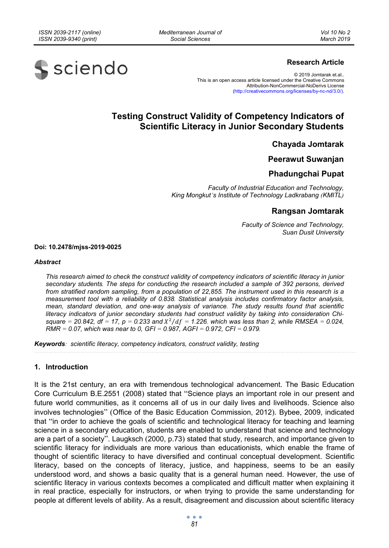*Mediterranean Journal of Social Sciences* 



### **Research Article**

© 2019 Jomtarak et.al.. This is an open access article licensed under the Creative Commons Attribution-NonCommercial-NoDerivs License (http://creativecommons.org/licenses/by-nc-nd/3.0/).

# **Testing Construct Validity of Competency Indicators of Scientific Literacy in Junior Secondary Students**

**Chayada Jomtarak** 

### **Peerawut Suwanjan**

## **Phadungchai Pupat**

*Faculty of Industrial Education and Technology, King Mongkut's Institute of Technology Ladkrabang (KMITL)*

## **Rangsan Jomtarak**

*Faculty of Science and Technology, Suan Dusit University* 

**Doi: 10.2478/mjss-2019-0025** 

#### *Abstract*

*This research aimed to check the construct validity of competency indicators of scientific literacy in junior secondary students. The steps for conducting the research included a sample of 392 persons, derived from stratified random sampling, from a population of 22,855. The instrument used in this research is a measurement tool with a reliability of 0.838. Statistical analysis includes confirmatory factor analysis, mean, standard deviation, and one-way analysis of variance. The study results found that scientific literacy indicators of junior secondary students had construct validity by taking into consideration Chi*square = 20.842, df = 17, p = 0.233 and  $X^2/df = 1.226$ . which was less than 2, while RMSEA = 0.024, *RMR = 0.07, which was near to 0, GFI = 0.987, AGFI = 0.972, CFI = 0.979.* 

*Keywords: scientific literacy, competency indicators, construct validity, testing* 

#### **1. Introduction**

It is the 21st century, an era with tremendous technological advancement. The Basic Education Core Curriculum B.E.2551 (2008) stated that "Science plays an important role in our present and future world communities, as it concerns all of us in our daily lives and livelihoods. Science also involves technologies" (Office of the Basic Education Commission, 2012). Bybee, 2009, indicated that "in order to achieve the goals of scientific and technological literacy for teaching and learning science in a secondary education, students are enabled to understand that science and technology are a part of a society". Laugksch (2000, p.73) stated that study, research, and importance given to scientific literacy for individuals are more various than educationists, which enable the frame of thought of scientific literacy to have diversified and continual conceptual development. Scientific literacy, based on the concepts of literacy, justice, and happiness, seems to be an easily understood word, and shows a basic quality that is a general human need. However, the use of scientific literacy in various contexts becomes a complicated and difficult matter when explaining it in real practice, especially for instructors, or when trying to provide the same understanding for people at different levels of ability. As a result, disagreement and discussion about scientific literacy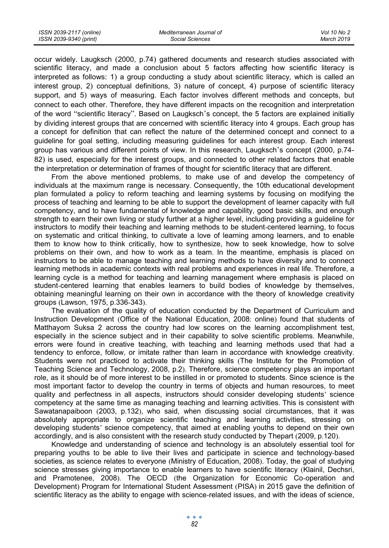occur widely. Laugksch (2000, p.74) gathered documents and research studies associated with scientific literacy, and made a conclusion about 5 factors affecting how scientific literacy is interpreted as follows: 1) a group conducting a study about scientific literacy, which is called an interest group, 2) conceptual definitions, 3) nature of concept, 4) purpose of scientific literacy support, and 5) ways of measuring. Each factor involves different methods and concepts, but connect to each other. Therefore, they have different impacts on the recognition and interpretation of the word "scientific literacy". Based on Laugksch's concept, the 5 factors are explained initially by dividing interest groups that are concerned with scientific literacy into 4 groups. Each group has a concept for definition that can reflect the nature of the determined concept and connect to a guideline for goal setting, including measuring guidelines for each interest group. Each interest group has various and different points of view. In this research, Laugksch's concept (2000, p.74- 82) is used, especially for the interest groups, and connected to other related factors that enable the interpretation or determination of frames of thought for scientific literacy that are different.

From the above mentioned problems, to make use of and develop the competency of individuals at the maximum range is necessary. Consequently, the 10th educational development plan formulated a policy to reform teaching and learning systems by focusing on modifying the process of teaching and learning to be able to support the development of learner capacity with full competency, and to have fundamental of knowledge and capability, good basic skills, and enough strength to earn their own living or study further at a higher level, including providing a guideline for instructors to modify their teaching and learning methods to be student-centered learning, to focus on systematic and critical thinking, to cultivate a love of learning among learners, and to enable them to know how to think critically, how to synthesize, how to seek knowledge, how to solve problems on their own, and how to work as a team. In the meantime, emphasis is placed on instructors to be able to manage teaching and learning methods to have diversity and to connect learning methods in academic contexts with real problems and experiences in real life. Therefore, a learning cycle is a method for teaching and learning management where emphasis is placed on student-centered learning that enables learners to build bodies of knowledge by themselves, obtaining meaningful learning on their own in accordance with the theory of knowledge creativity groups (Lawson, 1975, p.336-343).

The evaluation of the quality of education conducted by the Department of Curriculum and Instruction Development (Office of the National Education, 2008: online) found that students of Matthayom Suksa 2 across the country had low scores on the learning accomplishment test, especially in the science subject and in their capability to solve scientific problems. Meanwhile, errors were found in creative teaching, with teaching and learning methods used that had a tendency to enforce, follow, or imitate rather than learn in accordance with knowledge creativity. Students were not practiced to activate their thinking skills (The Institute for the Promotion of Teaching Science and Technology, 2008, p.2). Therefore, science competency plays an important role, as it should be of more interest to be instilled in or promoted to students. Since science is the most important factor to develop the country in terms of objects and human resources, to meet quality and perfectness in all aspects, instructors should consider developing students' science competency at the same time as managing teaching and learning activities. This is consistent with Sawatanapaiboon (2003, p.132), who said, when discussing social circumstances, that it was absolutely appropriate to organize scientific teaching and learning activities, stressing on developing students' science competency, that aimed at enabling youths to depend on their own accordingly, and is also consistent with the research study conducted by Thepart (2009, p.120).

Knowledge and understanding of science and technology is an absolutely essential tool for preparing youths to be able to live their lives and participate in science and technology-based societies, as science relates to everyone (Ministry of Education, 2008). Today, the goal of studying science stresses giving importance to enable learners to have scientific literacy (Klainil, Dechsri, and Pramotenee, 2008). The OECD (the Organization for Economic Co-operation and Development) Program for International Student Assessment (PISA) in 2015 gave the definition of scientific literacy as the ability to engage with science-related issues, and with the ideas of science,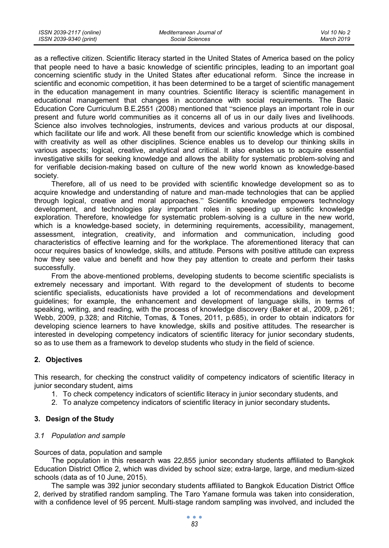as a reflective citizen. Scientific literacy started in the United States of America based on the policy that people need to have a basic knowledge of scientific principles, leading to an important goal concerning scientific study in the United States after educational reform. Since the increase in scientific and economic competition, it has been determined to be a target of scientific management in the education management in many countries. Scientific literacy is scientific management in educational management that changes in accordance with social requirements. The Basic Education Core Curriculum B.E.2551 (2008) mentioned that "science plays an important role in our present and future world communities as it concerns all of us in our daily lives and livelihoods. Science also involves technologies, instruments, devices and various products at our disposal, which facilitate our life and work. All these benefit from our scientific knowledge which is combined with creativity as well as other disciplines. Science enables us to develop our thinking skills in various aspects; logical, creative, analytical and critical. It also enables us to acquire essential investigative skills for seeking knowledge and allows the ability for systematic problem-solving and for verifiable decision-making based on culture of the new world known as knowledge-based society.

Therefore, all of us need to be provided with scientific knowledge development so as to acquire knowledge and understanding of nature and man-made technologies that can be applied through logical, creative and moral approaches." Scientific knowledge empowers technology development, and technologies play important roles in speeding up scientific knowledge exploration. Therefore, knowledge for systematic problem-solving is a culture in the new world, which is a knowledge-based society, in determining requirements, accessibility, management, assessment, integration, creativity, and information and communication, including good characteristics of effective learning and for the workplace. The aforementioned literacy that can occur requires basics of knowledge, skills, and attitude. Persons with positive attitude can express how they see value and benefit and how they pay attention to create and perform their tasks successfully.

From the above-mentioned problems, developing students to become scientific specialists is extremely necessary and important. With regard to the development of students to become scientific specialists, educationists have provided a lot of recommendations and development guidelines; for example, the enhancement and development of language skills, in terms of speaking, writing, and reading, with the process of knowledge discovery (Baker et al., 2009, p.261; Webb, 2009, p.328; and Ritchie, Tomas, & Tones, 2011, p.685), in order to obtain indicators for developing science learners to have knowledge, skills and positive attitudes. The researcher is interested in developing competency indicators of scientific literacy for junior secondary students, so as to use them as a framework to develop students who study in the field of science.

## **2. Objectives**

This research, for checking the construct validity of competency indicators of scientific literacy in junior secondary student, aims

- 1. To check competency indicators of scientific literacy in junior secondary students, and
- 2. To analyze competency indicators of scientific literacy in junior secondary students**.**

## **3. Design of the Study**

#### *3.1 Population and sample*

Sources of data, population and sample

The population in this research was 22,855 junior secondary students affiliated to Bangkok Education District Office 2, which was divided by school size; extra-large, large, and medium-sized schools (data as of 10 June, 2015).

The sample was 392 junior secondary students affiliated to Bangkok Education District Office 2, derived by stratified random sampling. The Taro Yamane formula was taken into consideration, with a confidence level of 95 percent. Multi-stage random sampling was involved, and included the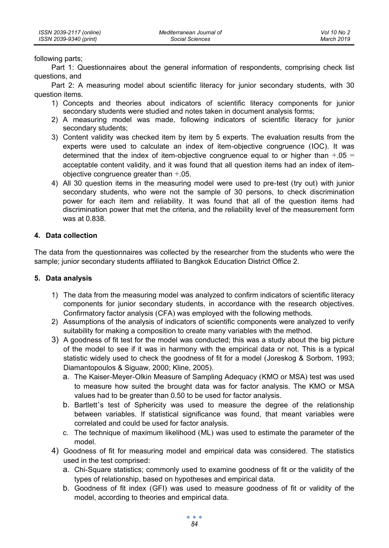following parts;

Part 1: Questionnaires about the general information of respondents, comprising check list questions, and

Part 2: A measuring model about scientific literacy for junior secondary students, with 30 question items.

- 1) Concepts and theories about indicators of scientific literacy components for junior secondary students were studied and notes taken in document analysis forms;
- 2) A measuring model was made, following indicators of scientific literacy for junior secondary students;
- 3) Content validity was checked item by item by 5 experts. The evaluation results from the experts were used to calculate an index of item-objective congruence (IOC). It was determined that the index of item-objective congruence equal to or higher than  $+.05 =$ acceptable content validity, and it was found that all question items had an index of itemobjective congruence greater than +.05.
- 4) All 30 question items in the measuring model were used to pre-test (try out) with junior secondary students, who were not the sample of 30 persons, to check discrimination power for each item and reliability. It was found that all of the question items had discrimination power that met the criteria, and the reliability level of the measurement form was at 0.838.

### **4. Data collection**

The data from the questionnaires was collected by the researcher from the students who were the sample; junior secondary students affiliated to Bangkok Education District Office 2.

#### **5. Data analysis**

- 1) The data from the measuring model was analyzed to confirm indicators of scientific literacy components for junior secondary students, in accordance with the research objectives. Confirmatory factor analysis (CFA) was employed with the following methods.
- 2) Assumptions of the analysis of indicators of scientific components were analyzed to verify suitability for making a composition to create many variables with the method.
- 3) A goodness of fit test for the model was conducted; this was a study about the big picture of the model to see if it was in harmony with the empirical data or not. This is a typical statistic widely used to check the goodness of fit for a model (Joreskog & Sorbom, 1993; Diamantopoulos & Siguaw, 2000; Kline, 2005).
	- a. The Kaiser-Meyer-Olkin Measure of Sampling Adequacy (KMO or MSA) test was used to measure how suited the brought data was for factor analysis. The KMO or MSA values had to be greater than 0.50 to be used for factor analysis.
	- b. Bartlett's test of Sphericity was used to measure the degree of the relationship between variables. If statistical significance was found, that meant variables were correlated and could be used for factor analysis.
	- c. The technique of maximum likelihood (ML) was used to estimate the parameter of the model.
- 4) Goodness of fit for measuring model and empirical data was considered. The statistics used in the test comprised:
	- a. Chi-Square statistics; commonly used to examine goodness of fit or the validity of the types of relationship, based on hypotheses and empirical data.
	- b. Goodness of fit index (GFI) was used to measure goodness of fit or validity of the model, according to theories and empirical data.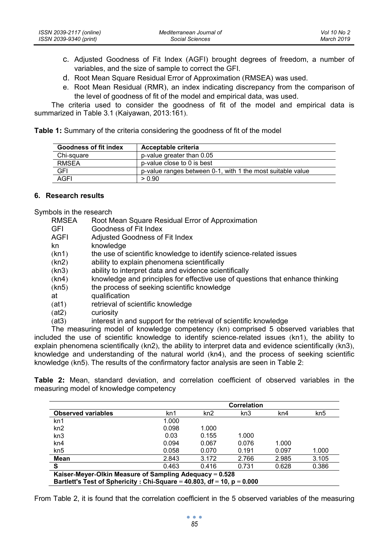- c. Adjusted Goodness of Fit Index (AGFI) brought degrees of freedom, a number of variables, and the size of sample to correct the GFI.
- d. Root Mean Square Residual Error of Approximation (RMSEA) was used.
- e. Root Mean Residual (RMR), an index indicating discrepancy from the comparison of the level of goodness of fit of the model and empirical data, was used.

The criteria used to consider the goodness of fit of the model and empirical data is summarized in Table 3.1 (Kaiyawan, 2013:161).

**Table 1:** Summary of the criteria considering the goodness of fit of the model

| <b>Goodness of fit index</b> | Acceptable criteria                                        |
|------------------------------|------------------------------------------------------------|
| Chi-square                   | p-value greater than 0.05                                  |
| <b>RMSEA</b>                 | p-value close to 0 is best                                 |
| GFI                          | p-value ranges between 0-1, with 1 the most suitable value |
| AGFI                         | > 0.90                                                     |

#### **6. Research results**

Symbols in the research

- RMSEA Root Mean Square Residual Error of Approximation
- GFI Goodness of Fit Index<br>AGFI Adjusted Goodness of
- Adjusted Goodness of Fit Index
- kn knowledge
- (kn1) the use of scientific knowledge to identify science-related issues
- (kn2) ability to explain phenomena scientifically
- (kn3) ability to interpret data and evidence scientifically
- (kn4) knowledge and principles for effective use of questions that enhance thinking
- (kn5) the process of seeking scientific knowledge
- at qualification
- (at1) retrieval of scientific knowledge
- (at2) curiosity
- (at3) interest in and support for the retrieval of scientific knowledge

The measuring model of knowledge competency (kn) comprised 5 observed variables that included the use of scientific knowledge to identify science-related issues (kn1), the ability to explain phenomena scientifically (kn2), the ability to interpret data and evidence scientifically (kn3), knowledge and understanding of the natural world (kn4), and the process of seeking scientific knowledge (kn5). The results of the confirmatory factor analysis are seen in Table 2:

**Table 2:** Mean, standard deviation, and correlation coefficient of observed variables in the measuring model of knowledge competency

|                                                                              |       |       | Correlation |       |                 |
|------------------------------------------------------------------------------|-------|-------|-------------|-------|-----------------|
| <b>Observed variables</b>                                                    | kn1   | kn2   | kn3         | kn4   | kn <sub>5</sub> |
| kn1                                                                          | 1.000 |       |             |       |                 |
| kn2                                                                          | 0.098 | 1.000 |             |       |                 |
| kn <sub>3</sub>                                                              | 0.03  | 0.155 | 1.000       |       |                 |
| kn4                                                                          | 0.094 | 0.067 | 0.076       | 1.000 |                 |
| kn <sub>5</sub>                                                              | 0.058 | 0.070 | 0.191       | 0.097 | 1.000           |
| Mean                                                                         | 2.843 | 3.172 | 2.766       | 2.985 | 3.105           |
| S                                                                            | 0.463 | 0.416 | 0.731       | 0.628 | 0.386           |
| Kaiser-Meyer-Olkin Measure of Sampling Adequacy = 0.528                      |       |       |             |       |                 |
| Bartlett's Test of Sphericity : Chi-Square = 40.803, $df = 10$ , $p = 0.000$ |       |       |             |       |                 |

From Table 2, it is found that the correlation coefficient in the 5 observed variables of the measuring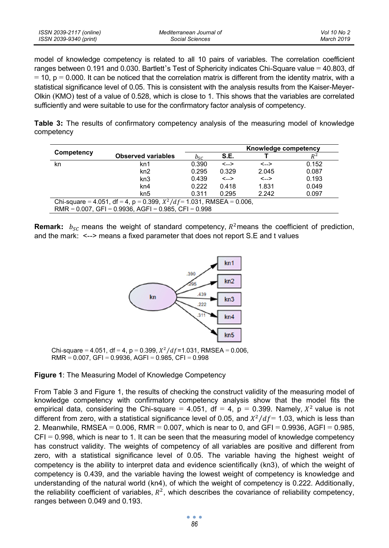| ISSN 2039-2117 (online) | Mediterranean Journal of | Vol 10 No 2 |
|-------------------------|--------------------------|-------------|
| ISSN 2039-9340 (print)  | Social Sciences          | March 2019  |

model of knowledge competency is related to all 10 pairs of variables. The correlation coefficient ranges between 0.191 and 0.030. Bartlett's Test of Sphericity indicates Chi-Square value = 40.803, df  $= 10$ , p  $= 0.000$ . It can be noticed that the correlation matrix is different from the identity matrix, with a statistical significance level of 0.05. This is consistent with the analysis results from the Kaiser-Meyer-Olkin (KMO) test of a value of 0.528, which is close to 1. This shows that the variables are correlated sufficiently and were suitable to use for the confirmatory factor analysis of competency.

**Table 3:** The results of confirmatory competency analysis of the measuring model of knowledge competency

|                                                                          |                                                                 |                    |              | Knowledge competency |       |  |
|--------------------------------------------------------------------------|-----------------------------------------------------------------|--------------------|--------------|----------------------|-------|--|
| Competency                                                               | <b>Observed variables</b>                                       | $b_{\mathcal{S}C}$ | S.E.         |                      | $R^2$ |  |
| kn                                                                       | kn1                                                             | 0.390              | $\leftarrow$ | $\leftarrow$         | 0.152 |  |
|                                                                          | kn2                                                             | 0.295              | 0.329        | 2.045                | 0.087 |  |
|                                                                          | kn3                                                             | 0.439              | $\leftarrow$ | $\leftarrow$         | 0.193 |  |
|                                                                          | kn4                                                             | 0.222              | 0.418        | 1.831                | 0.049 |  |
|                                                                          | kn <sub>5</sub>                                                 | 0.311              | 0.295        | 2.242                | 0.097 |  |
| Chi-square = 4.051, df = 4, p = 0.399, $X^2/df = 1.031$ , RMSEA = 0.006, |                                                                 |                    |              |                      |       |  |
|                                                                          | RMR = $0.007$ , GFI = $0.9936$ , AGFI = $0.985$ , CFI = $0.998$ |                    |              |                      |       |  |

**Remark:**  $b_{SC}$  means the weight of standard competency,  $R^2$  means the coefficient of prediction, and the mark: <--> means a fixed parameter that does not report S.E and t values



Chi-square = 4.051, df = 4, p = 0.399,  $X^2/df = 1.031$ , RMSEA = 0.006,  $RMR = 0.007$ , GFI = 0.9936, AGFI = 0.985, CFI = 0.998

**Figure 1**: The Measuring Model of Knowledge Competency

From Table 3 and Figure 1, the results of checking the construct validity of the measuring model of knowledge competency with confirmatory competency analysis show that the model fits the empirical data, considering the Chi-square = 4.051, df = 4,  $p = 0.399$ . Namely,  $X^2$  value is not different from zero, with a statistical significance level of 0.05, and  $\frac{X^2}{df}$  = 1.03, which is less than 2. Meanwhile, RMSEA =  $0.006$ , RMR =  $0.007$ , which is near to 0, and GFI =  $0.9936$ , AGFI =  $0.985$ ,  $CFI = 0.998$ , which is near to 1. It can be seen that the measuring model of knowledge competency has construct validity. The weights of competency of all variables are positive and different from zero, with a statistical significance level of 0.05. The variable having the highest weight of competency is the ability to interpret data and evidence scientifically (kn3), of which the weight of competency is 0.439, and the variable having the lowest weight of competency is knowledge and understanding of the natural world (kn4), of which the weight of competency is 0.222. Additionally, the reliability coefficient of variables,  $R^2$ , which describes the covariance of reliability competency, ranges between 0.049 and 0.193.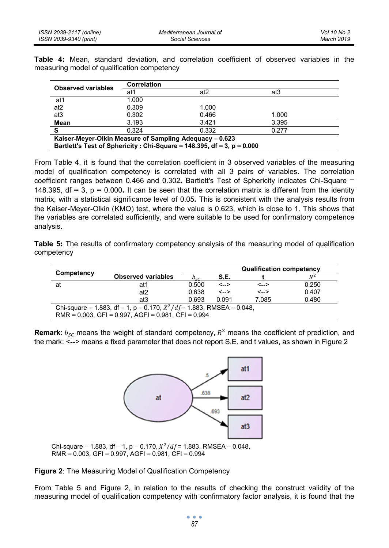**Table 4:** Mean, standard deviation, and correlation coefficient of observed variables in the measuring model of qualification competency

| Correlation                                                                                                                          |       |       |  |  |
|--------------------------------------------------------------------------------------------------------------------------------------|-------|-------|--|--|
| at1                                                                                                                                  | at2   | at3   |  |  |
| 1.000                                                                                                                                |       |       |  |  |
| 0.309                                                                                                                                | 1.000 |       |  |  |
| 0.302                                                                                                                                | 0.466 | 1.000 |  |  |
| 3.193                                                                                                                                | 3.421 | 3.395 |  |  |
| 0.324                                                                                                                                | 0.332 | 0.277 |  |  |
| Kaiser-Meyer-Olkin Measure of Sampling Adequacy = 0.623<br>Bartlett's Test of Sphericity : Chi-Square = 148.395, df = 3, $p = 0.000$ |       |       |  |  |
|                                                                                                                                      |       |       |  |  |

From Table 4, it is found that the correlation coefficient in 3 observed variables of the measuring model of qualification competency is correlated with all 3 pairs of variables. The correlation coefficient ranges between 0.466 and 0.302**.** Bartlett's Test of Sphericity indicates Chi-Square = 148.395, df = 3, p = 0.000**.** It can be seen that the correlation matrix is different from the identity matrix, with a statistical significance level of 0.05**.** This is consistent with the analysis results from the Kaiser-Meyer-Olkin (KMO) test, where the value is 0.623, which is close to 1. This shows that the variables are correlated sufficiently, and were suitable to be used for confirmatory competence analysis.

**Table 5:** The results of confirmatory competency analysis of the measuring model of qualification competency

| Competency |                                                                          |          | <b>Qualification competency</b> |              |       |  |  |
|------------|--------------------------------------------------------------------------|----------|---------------------------------|--------------|-------|--|--|
|            | <b>Observed variables</b>                                                | $D_{SC}$ | S.E.                            |              | $R^2$ |  |  |
| at         | at 1                                                                     | 0.500    | $\leftarrow$                    | <-->         | 0.250 |  |  |
|            | at <sub>2</sub>                                                          | 0.638    | $\leftarrow$                    | $\leftarrow$ | 0.407 |  |  |
|            | at3                                                                      | 0.693    | 0.091                           | 7.085        | 0.480 |  |  |
|            | Chi-square = 1.883, df = 1, p = 0.170, $X^2/df = 1.883$ , RMSEA = 0.048, |          |                                 |              |       |  |  |
|            | $RMR = 0.003$ , GFI = 0.997, AGFI = 0.981, CFI = 0.994                   |          |                                 |              |       |  |  |

**Remark**:  $b_{SC}$  means the weight of standard competency,  $R^2$  means the coefficient of prediction, and the mark: <--> means a fixed parameter that does not report S.E. and t values, as shown in Figure 2



Chi-square = 1.883, df = 1, p = 0.170,  $X^2/df = 1.883$ , RMSEA = 0.048,  $RMR = 0.003$ , GFI = 0.997, AGFI = 0.981, CFI = 0.994

**Figure 2**: The Measuring Model of Qualification Competency

From Table 5 and Figure 2, in relation to the results of checking the construct validity of the measuring model of qualification competency with confirmatory factor analysis, it is found that the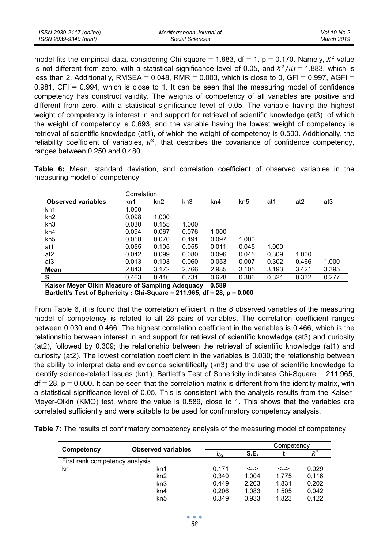| ISSN 2039-2117 (online) | Mediterranean Journal of | Vol 10 No 2 |
|-------------------------|--------------------------|-------------|
| ISSN 2039-9340 (print)  | Social Sciences          | March 2019  |

model fits the empirical data, considering Chi-square = 1.883, df = 1, p = 0.170. Namely,  $X^2$  value is not different from zero, with a statistical significance level of 0.05, and  $\frac{X^2}{df} = 1.883$ , which is less than 2. Additionally, RMSEA =  $0.048$ , RMR =  $0.003$ , which is close to 0, GFI =  $0.997$ , AGFI = 0.981,  $CFI = 0.994$ , which is close to 1. It can be seen that the measuring model of confidence competency has construct validity. The weights of competency of all variables are positive and different from zero, with a statistical significance level of 0.05. The variable having the highest weight of competency is interest in and support for retrieval of scientific knowledge (at3), of which the weight of competency is 0.693, and the variable having the lowest weight of competency is retrieval of scientific knowledge (at1), of which the weight of competency is 0.500. Additionally, the reliability coefficient of variables,  $R^2$ , that describes the covariance of confidence competency, ranges between 0.250 and 0.480.

**Table 6:** Mean, standard deviation, and correlation coefficient of observed variables in the measuring model of competency

|                                                         | Correlation                                                                |       |       |       |       |       |                 |                 |
|---------------------------------------------------------|----------------------------------------------------------------------------|-------|-------|-------|-------|-------|-----------------|-----------------|
| <b>Observed variables</b>                               | kn1                                                                        | kn2   | kn3   | kn4   | kn5   | at1   | at <sub>2</sub> | at <sub>3</sub> |
| kn1                                                     | 1.000                                                                      |       |       |       |       |       |                 |                 |
| kn2                                                     | 0.098                                                                      | 1.000 |       |       |       |       |                 |                 |
| kn3                                                     | 0.030                                                                      | 0.155 | 1.000 |       |       |       |                 |                 |
| kn4                                                     | 0.094                                                                      | 0.067 | 0.076 | 1.000 |       |       |                 |                 |
| kn <sub>5</sub>                                         | 0.058                                                                      | 0.070 | 0.191 | 0.097 | 1.000 |       |                 |                 |
| at1                                                     | 0.055                                                                      | 0.105 | 0.055 | 0.011 | 0.045 | 1.000 |                 |                 |
| at <sub>2</sub>                                         | 0.042                                                                      | 0.099 | 0.080 | 0.096 | 0.045 | 0.309 | 1.000           |                 |
| at <sub>3</sub>                                         | 0.013                                                                      | 0.103 | 0.060 | 0.053 | 0.007 | 0.302 | 0.466           | 1.000           |
| Mean                                                    | 2.843                                                                      | 3.172 | 2.766 | 2.985 | 3.105 | 3.193 | 3.421           | 3.395           |
| S                                                       | 0.463                                                                      | 0.416 | 0.731 | 0.628 | 0.386 | 0.324 | 0.332           | 0.277           |
| Kaiser-Meyer-Olkin Measure of Sampling Adequacy = 0.589 |                                                                            |       |       |       |       |       |                 |                 |
|                                                         | Bartlett's Test of Sphericity : Chi-Square = 211.965, df = 28, $p = 0.000$ |       |       |       |       |       |                 |                 |

From Table 6, it is found that the correlation efficient in the 8 observed variables of the measuring model of competency is related to all 28 pairs of variables. The correlation coefficient ranges between 0.030 and 0.466. The highest correlation coefficient in the variables is 0.466, which is the relationship between interest in and support for retrieval of scientific knowledge (at3) and curiosity (at2), followed by 0.309; the relationship between the retrieval of scientific knowledge (at1) and curiosity (at2). The lowest correlation coefficient in the variables is 0.030; the relationship between the ability to interpret data and evidence scientifically (kn3) and the use of scientific knowledge to identify science-related issues (kn1). Bartlett's Test of Sphericity indicates Chi-Square = 211.965,  $df = 28$ ,  $p = 0.000$ . It can be seen that the correlation matrix is different from the identity matrix, with a statistical significance level of 0.05. This is consistent with the analysis results from the Kaiser-Meyer-Olkin (KMO) test, where the value is 0.589, close to 1. This shows that the variables are correlated sufficiently and were suitable to be used for confirmatory competency analysis.

**Table 7**: The results of confirmatory competency analysis of the measuring model of competency

|                                |                           | Competency |       |       |       |  |  |
|--------------------------------|---------------------------|------------|-------|-------|-------|--|--|
| Competency                     | <b>Observed variables</b> | $b_{SC}$   | S.E.  |       | $R^2$ |  |  |
| First rank competency analysis |                           |            |       |       |       |  |  |
| kn                             | kn1                       | 0.171      | <-->  | <-->  | 0.029 |  |  |
|                                | kn2                       | 0.340      | 1.004 | 1.775 | 0.116 |  |  |
|                                | kn3                       | 0.449      | 2.263 | 1.831 | 0.202 |  |  |
|                                | kn4                       | 0.206      | 1.083 | 1.505 | 0.042 |  |  |
|                                | kn <sub>5</sub>           | 0.349      | 0.933 | 1.823 | 0.122 |  |  |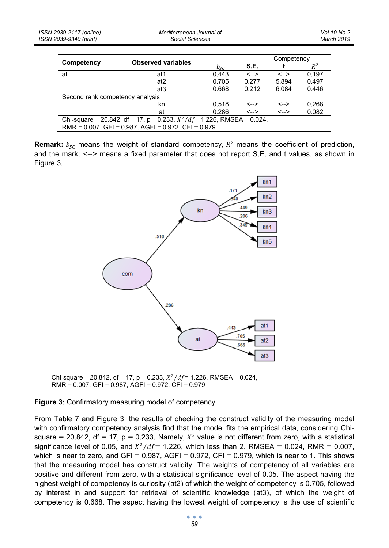|                                 | <b>Observed variables</b>                                                  | Competency              |              |              |       |  |  |
|---------------------------------|----------------------------------------------------------------------------|-------------------------|--------------|--------------|-------|--|--|
| Competency                      |                                                                            | $b_{\scriptstyle\rm S}$ | S.E.         |              | $R^2$ |  |  |
| at                              | at1                                                                        | 0.443                   | $\leftarrow$ | $\leftarrow$ | 0.197 |  |  |
|                                 | at <sub>2</sub>                                                            | 0.705                   | 0.277        | 5.894        | 0.497 |  |  |
|                                 | at3                                                                        | 0.668                   | 0.212        | 6.084        | 0.446 |  |  |
| Second rank competency analysis |                                                                            |                         |              |              |       |  |  |
|                                 | kn                                                                         | 0.518                   | $\leftarrow$ | $\leftarrow$ | 0.268 |  |  |
|                                 | at                                                                         | 0.286                   | $\leftarrow$ | $\leftarrow$ | 0.082 |  |  |
|                                 | Chi-square = 20.842, df = 17, p = 0.233, $X^2/df = 1.226$ , RMSEA = 0.024, |                         |              |              |       |  |  |
|                                 | $RMR = 0.007$ , GFI = 0.987, AGFI = 0.972, CFI = 0.979                     |                         |              |              |       |  |  |

**Remark:**  $b_{SC}$  means the weight of standard competency,  $R^2$  means the coefficient of prediction, and the mark: <--> means a fixed parameter that does not report S.E. and t values, as shown in Figure 3.



Chi-square = 20.842, df = 17, p = 0.233,  $X^2/df = 1.226$ , RMSEA = 0.024,  $RMR = 0.007$ ,  $GFI = 0.987$ ,  $AGFI = 0.972$ ,  $CFI = 0.979$ 

#### **Figure 3**: Confirmatory measuring model of competency

From Table 7 and Figure 3, the results of checking the construct validity of the measuring model with confirmatory competency analysis find that the model fits the empirical data, considering Chisquare = 20.842, df = 17, p = 0.233. Namely,  $X^2$  value is not different from zero, with a statistical significance level of 0.05, and  $X^2/df = 1.226$ , which less than 2. RMSEA = 0.024, RMR = 0.007, which is near to zero, and GFI =  $0.987$ , AGFI =  $0.972$ , CFI =  $0.979$ , which is near to 1. This shows that the measuring model has construct validity. The weights of competency of all variables are positive and different from zero, with a statistical significance level of 0.05. The aspect having the highest weight of competency is curiosity (at2) of which the weight of competency is 0.705, followed by interest in and support for retrieval of scientific knowledge (at3), of which the weight of competency is 0.668. The aspect having the lowest weight of competency is the use of scientific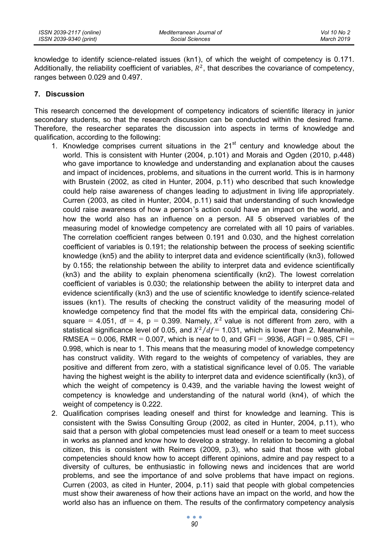knowledge to identify science-related issues (kn1), of which the weight of competency is 0.171. Additionally, the reliability coefficient of variables,  $R^2$ , that describes the covariance of competency, ranges between 0.029 and 0.497.

#### **7. Discussion**

This research concerned the development of competency indicators of scientific literacy in junior secondary students, so that the research discussion can be conducted within the desired frame. Therefore, the researcher separates the discussion into aspects in terms of knowledge and qualification, according to the following:

- 1. Knowledge comprises current situations in the  $21<sup>st</sup>$  century and knowledge about the world. This is consistent with Hunter (2004, p.101) and Morais and Ogden (2010, p.448) who gave importance to knowledge and understanding and explanation about the causes and impact of incidences, problems, and situations in the current world. This is in harmony with Brustein (2002, as cited in Hunter, 2004, p.11) who described that such knowledge could help raise awareness of changes leading to adjustment in living life appropriately. Curren (2003, as cited in Hunter, 2004, p.11) said that understanding of such knowledge could raise awareness of how a person's action could have an impact on the world, and how the world also has an influence on a person. All 5 observed variables of the measuring model of knowledge competency are correlated with all 10 pairs of variables. The correlation coefficient ranges between 0.191 and 0.030, and the highest correlation coefficient of variables is 0.191; the relationship between the process of seeking scientific knowledge (kn5) and the ability to interpret data and evidence scientifically (kn3), followed by 0.155; the relationship between the ability to interpret data and evidence scientifically (kn3) and the ability to explain phenomena scientifically (kn2). The lowest correlation coefficient of variables is 0.030; the relationship between the ability to interpret data and evidence scientifically (kn3) and the use of scientific knowledge to identify science-related issues (kn1). The results of checking the construct validity of the measuring model of knowledge competency find that the model fits with the empirical data, considering Chisquare = 4.051, df = 4, p = 0.399. Namely,  $X^2$  value is not different from zero, with a statistical significance level of 0.05, and  $X^2/df = 1.031$ , which is lower than 2. Meanwhile, RMSEA = 0.006, RMR = 0.007, which is near to 0, and GFI = .9936, AGFI = 0.985, CFI = 0.998, which is near to 1. This means that the measuring model of knowledge competency has construct validity. With regard to the weights of competency of variables, they are positive and different from zero, with a statistical significance level of 0.05. The variable having the highest weight is the ability to interpret data and evidence scientifically (kn3), of which the weight of competency is 0.439, and the variable having the lowest weight of competency is knowledge and understanding of the natural world (kn4), of which the weight of competency is 0.222.
- 2. Qualification comprises leading oneself and thirst for knowledge and learning. This is consistent with the Swiss Consulting Group (2002, as cited in Hunter, 2004, p.11), who said that a person with global competencies must lead oneself or a team to meet success in works as planned and know how to develop a strategy. In relation to becoming a global citizen, this is consistent with Reimers (2009, p.3), who said that those with global competencies should know how to accept different opinions, admire and pay respect to a diversity of cultures, be enthusiastic in following news and incidences that are world problems, and see the importance of and solve problems that have impact on regions. Curren (2003, as cited in Hunter, 2004, p.11) said that people with global competencies must show their awareness of how their actions have an impact on the world, and how the world also has an influence on them. The results of the confirmatory competency analysis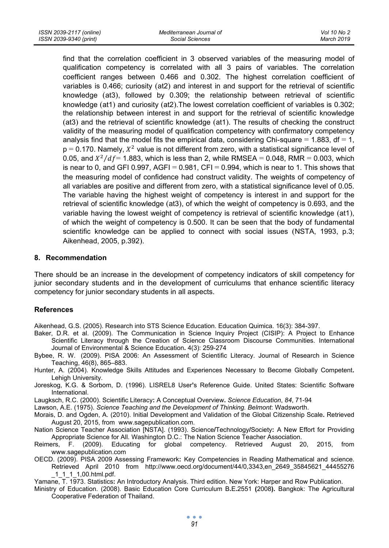find that the correlation coefficient in 3 observed variables of the measuring model of qualification competency is correlated with all 3 pairs of variables. The correlation coefficient ranges between 0.466 and 0.302. The highest correlation coefficient of variables is 0.466; curiosity (at2) and interest in and support for the retrieval of scientific knowledge (at3), followed by 0.309; the relationship between retrieval of scientific knowledge (at1) and curiosity (at2).The lowest correlation coefficient of variables is 0.302; the relationship between interest in and support for the retrieval of scientific knowledge (at3) and the retrieval of scientific knowledge (at1). The results of checking the construct validity of the measuring model of qualification competency with confirmatory competency analysis find that the model fits the empirical data, considering Chi-square  $= 1.883$ , df  $= 1$ ,  $p = 0.170$ . Namely,  $X^2$  value is not different from zero, with a statistical significance level of 0.05, and  $X^2/df = 1.883$ , which is less than 2, while RMSEA = 0.048, RMR = 0.003, which is near to 0, and GFI 0.997, AGFI = 0.981, CFI = 0.994, which is near to 1. This shows that the measuring model of confidence had construct validity. The weights of competency of all variables are positive and different from zero, with a statistical significance level of 0.05. The variable having the highest weight of competency is interest in and support for the retrieval of scientific knowledge (at3), of which the weight of competency is 0.693, and the variable having the lowest weight of competency is retrieval of scientific knowledge (at1), of which the weight of competency is 0.500. It can be seen that the body of fundamental scientific knowledge can be applied to connect with social issues (NSTA, 1993, p.3; Aikenhead, 2005, p.392).

#### **8. Recommendation**

There should be an increase in the development of competency indicators of skill competency for junior secondary students and in the development of curriculums that enhance scientific literacy competency for junior secondary students in all aspects.

#### **References**

Aikenhead, G.S. (2005). Research into STS Science Education. Education Quimica. 16(3): 384-397.

- Baker, D.R. et al. (2009). The Communication in Science Inquiry Project (CISIP): A Project to Enhance Scientific Literacy through the Creation of Science Classroom Discourse Communities. International Journal of Environmental & Science Education**.** 4(3): 259-274
- Bybee, R. W. (2009). PISA 2006: An Assessment of Scientific Literacy. Journal of Research in Science Teaching, 46(8), 865–883.
- Hunter, A. (2004). Knowledge Skills Attitudes and Experiences Necessary to Become Globally Competent**.** Lehigh University.
- Joreskog, K.G. & Sorbom, D. (1996). LISREL8 User**'**s Reference Guide. United States: Scientific Software International.

Laugksch, R.C. (2000). Scientific Literacy**:** A Conceptual Overview**.** *Science Education*, *84*, 71-94

Lawson, A.E. (1975). *Science Teaching and the Development of Thinking. Belmont*: Wadsworth.

- Morais, D. and Ogden, A. (2010). Initial Development and Validation of the Global Citizenship Scale**.** Retrieved August 20, 2015, from www.sagepublication.com.
- Nation Science Teacher Association [NSTA]. (1993). Science**/**Technology**/**Society**:** A New Effort for Providing Appropriate Science for All*.* Washington D.C.: The Nation Science Teacher Association.
- Reimers, F. (2009). Educating for global competency. Retrieved August 20, 2015, from www.sagepublication.com
- OECD. (2009). PISA 2009 Assessing Framework**:** Key Competencies in Reading Mathematical and science. Retrieved April 2010 from http://www.oecd.org/document/44/0,3343,en\_2649\_35845621\_44455276 \_1\_1\_1\_1,00.html.pdf.
- Yamane, T. 1973. Statistics**:** An Introductory Analysis. Third edition. New York: Harper and Row Publication.
- Ministry of Education. (2008). Basic Education Core Curriculum B**.**E**.**2551 **(**2008**).** Bangkok: The Agricultural Cooperative Federation of Thailand.